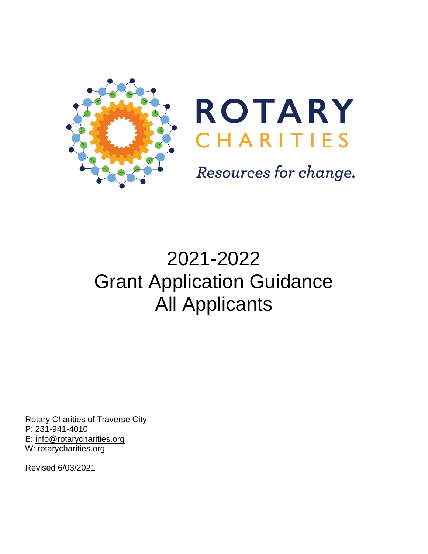



Resources for change.

# 2021-2022 Grant Application Guidance All Applicants

Rotary Charities of Traverse City P: 231-941-4010 E: [info@rotarycharities.org](mailto:info@rotarycharities.org) W: rotarycharities.org

Revised 6/03/2021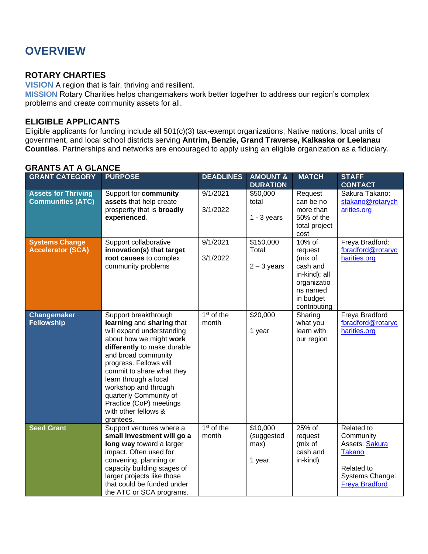# **OVERVIEW**

### **ROTARY CHARTIES**

**VISION** A region that is fair, thriving and resilient.

**MISSION** Rotary Charities helps changemakers work better together to address our region's complex problems and create community assets for all.

### **ELIGIBLE APPLICANTS**

Eligible applicants for funding include all 501(c)(3) tax-exempt organizations, Native nations, local units of government, and local school districts serving **Antrim, Benzie, Grand Traverse, Kalkaska or Leelanau Counties**. Partnerships and networks are encouraged to apply using an eligible organization as a fiduciary.

| ∟טווח∟ט הו ה טווחוט                                    |                                                                                                                                                                                                                                                                                                                                                                   |                                 |                                          |                                                                                                                      |                                                                                                               |
|--------------------------------------------------------|-------------------------------------------------------------------------------------------------------------------------------------------------------------------------------------------------------------------------------------------------------------------------------------------------------------------------------------------------------------------|---------------------------------|------------------------------------------|----------------------------------------------------------------------------------------------------------------------|---------------------------------------------------------------------------------------------------------------|
| <b>GRANT CATEGORY</b>                                  | <b>PURPOSE</b>                                                                                                                                                                                                                                                                                                                                                    | <b>DEADLINES</b>                | <b>AMOUNT &amp;</b><br><b>DURATION</b>   | <b>MATCH</b>                                                                                                         | <b>STAFF</b><br><b>CONTACT</b>                                                                                |
| <b>Assets for Thriving</b><br><b>Communities (ATC)</b> | Support for community<br>assets that help create<br>prosperity that is <b>broadly</b><br>experienced.                                                                                                                                                                                                                                                             | 9/1/2021<br>3/1/2022            | \$50,000<br>total<br>$1 - 3$ years       | Request<br>can be no<br>more than<br>50% of the<br>total project<br>cost                                             | Sakura Takano:<br>stakano@rotarych<br>arities.org                                                             |
| <b>Systems Change</b><br><b>Accelerator (SCA)</b>      | Support collaborative<br>innovation(s) that target<br>root causes to complex<br>community problems                                                                                                                                                                                                                                                                | 9/1/2021<br>3/1/2022            | \$150,000<br>Total<br>$2 - 3$ years      | $10\%$ of<br>request<br>(mix of<br>cash and<br>in-kind); all<br>organizatio<br>ns named<br>in budget<br>contributing | Freya Bradford:<br>fbradford@rotaryc<br>harities.org                                                          |
| <b>Changemaker</b><br><b>Fellowship</b>                | Support breakthrough<br>learning and sharing that<br>will expand understanding<br>about how we might work<br>differently to make durable<br>and broad community<br>progress. Fellows will<br>commit to share what they<br>learn through a local<br>workshop and through<br>quarterly Community of<br>Practice (CoP) meetings<br>with other fellows &<br>grantees. | 1 <sup>st</sup> of the<br>month | \$20,000<br>1 year                       | Sharing<br>what you<br>learn with<br>our region                                                                      | Freya Bradford<br>fbradford@rotaryc<br>harities.org                                                           |
| <b>Seed Grant</b>                                      | Support ventures where a<br>small investment will go a<br>long way toward a larger<br>impact. Often used for<br>convening, planning or<br>capacity building stages of<br>larger projects like those<br>that could be funded under<br>the ATC or SCA programs.                                                                                                     | 1 <sup>st</sup> of the<br>month | \$10,000<br>(suggested<br>max)<br>1 year | 25% of<br>request<br>(mix of<br>cash and<br>in-kind)                                                                 | Related to<br>Community<br>Assets: Sakura<br>Takano<br>Related to<br>Systems Change:<br><b>Freya Bradford</b> |

# **GRANTS AT A GLANCE**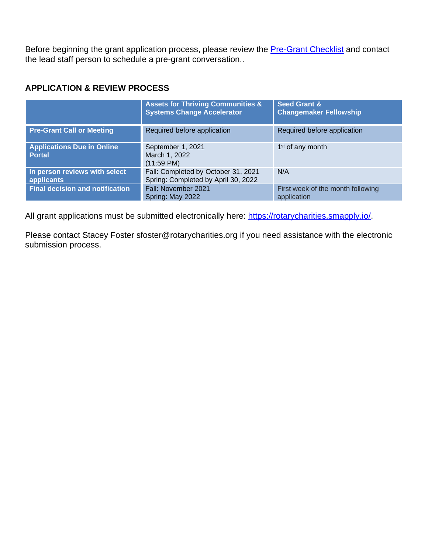Before beginning the grant application process, please review the **Pre-Grant Checklist** and contact the lead staff person to schedule a pre-grant conversation..

### **APPLICATION & REVIEW PROCESS**

|                                                    | <b>Assets for Thriving Communities &amp;</b><br><b>Systems Change Accelerator</b> | <b>Seed Grant &amp;</b><br><b>Changemaker Fellowship</b> |
|----------------------------------------------------|-----------------------------------------------------------------------------------|----------------------------------------------------------|
| <b>Pre-Grant Call or Meeting</b>                   | Required before application                                                       | Required before application                              |
| <b>Applications Due in Online</b><br><b>Portal</b> | September 1, 2021<br>March 1, 2022<br>$(11:59 \text{ PM})$                        | 1 <sup>st</sup> of any month                             |
| In person reviews with select<br>applicants        | Fall: Completed by October 31, 2021<br>Spring: Completed by April 30, 2022        | N/A                                                      |
| <b>Final decision and notification</b>             | Fall: November 2021<br>Spring: May 2022                                           | First week of the month following<br>application         |

All grant applications must be submitted electronically here: [https://rotarycharities.smapply.io/.](https://rotarycharities.smapply.io/)

Please contact Stacey Foster sfoster@rotarycharities.org if you need assistance with the electronic submission process.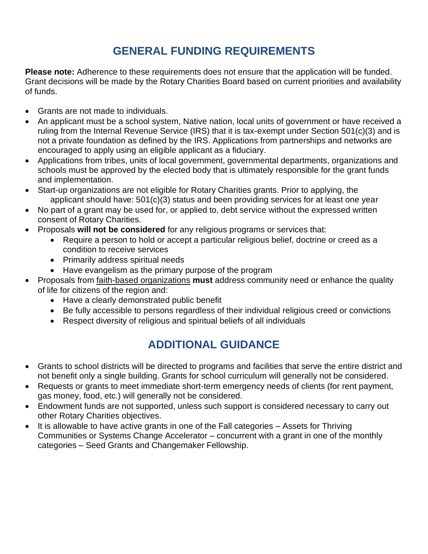# **GENERAL FUNDING REQUIREMENTS**

**Please note:** Adherence to these requirements does not ensure that the application will be funded. Grant decisions will be made by the Rotary Charities Board based on current priorities and availability of funds.

- Grants are not made to individuals.
- An applicant must be a school system, Native nation, local units of government or have received a ruling from the Internal Revenue Service (IRS) that it is tax-exempt under Section 501(c)(3) and is not a private foundation as defined by the IRS. Applications from partnerships and networks are encouraged to apply using an eligible applicant as a fiduciary.
- Applications from tribes, units of local government, governmental departments, organizations and schools must be approved by the elected body that is ultimately responsible for the grant funds and implementation.
- Start-up organizations are not eligible for Rotary Charities grants. Prior to applying, the applicant should have: 501(c)(3) status and been providing services for at least one year
- No part of a grant may be used for, or applied to, debt service without the expressed written consent of Rotary Charities.
- Proposals **will not be considered** for any religious programs or services that:
	- Require a person to hold or accept a particular religious belief, doctrine or creed as a condition to receive services
	- Primarily address spiritual needs
	- Have evangelism as the primary purpose of the program
- Proposals from faith-based organizations **must** address community need or enhance the quality of life for citizens of the region and:
	- Have a clearly demonstrated public benefit
	- Be fully accessible to persons regardless of their individual religious creed or convictions
	- Respect diversity of religious and spiritual beliefs of all individuals

# **ADDITIONAL GUIDANCE**

- Grants to school districts will be directed to programs and facilities that serve the entire district and not benefit only a single building. Grants for school curriculum will generally not be considered.
- Requests or grants to meet immediate short-term emergency needs of clients (for rent payment, gas money, food, etc.) will generally not be considered.
- Endowment funds are not supported, unless such support is considered necessary to carry out other Rotary Charities objectives.
- It is allowable to have active grants in one of the Fall categories Assets for Thriving Communities or Systems Change Accelerator – concurrent with a grant in one of the monthly categories – Seed Grants and Changemaker Fellowship.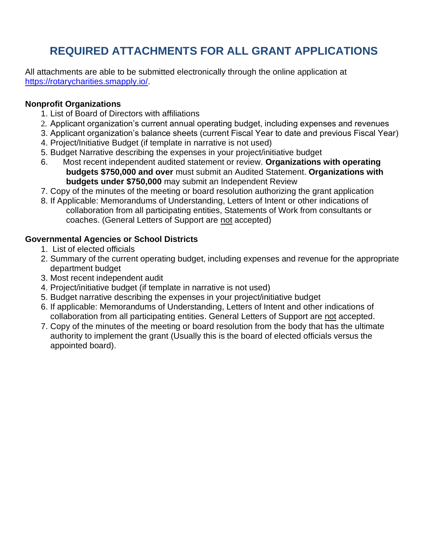# **REQUIRED ATTACHMENTS FOR ALL GRANT APPLICATIONS**

All attachments are able to be submitted electronically through the online application at [https://rotarycharities.smapply.io/.](https://rotarycharities.smapply.io/)

### **Nonprofit Organizations**

- 1. List of Board of Directors with affiliations
- 2. Applicant organization's current annual operating budget, including expenses and revenues
- 3. Applicant organization's balance sheets (current Fiscal Year to date and previous Fiscal Year)
- 4. Project/Initiative Budget (if template in narrative is not used)
- 5. Budget Narrative describing the expenses in your project/initiative budget
- 6. Most recent independent audited statement or review. **Organizations with operating budgets \$750,000 and over** must submit an Audited Statement. **Organizations with budgets under \$750,000** may submit an Independent Review
- 7. Copy of the minutes of the meeting or board resolution authorizing the grant application
- 8. If Applicable: Memorandums of Understanding, Letters of Intent or other indications of collaboration from all participating entities, Statements of Work from consultants or coaches. (General Letters of Support are not accepted)

### **Governmental Agencies or School Districts**

- 1. List of elected officials
- 2. Summary of the current operating budget, including expenses and revenue for the appropriate department budget
- 3. Most recent independent audit
- 4. Project/initiative budget (if template in narrative is not used)
- 5. Budget narrative describing the expenses in your project/initiative budget
- 6. If applicable: Memorandums of Understanding, Letters of Intent and other indications of collaboration from all participating entities. General Letters of Support are not accepted.
- 7. Copy of the minutes of the meeting or board resolution from the body that has the ultimate authority to implement the grant (Usually this is the board of elected officials versus the appointed board).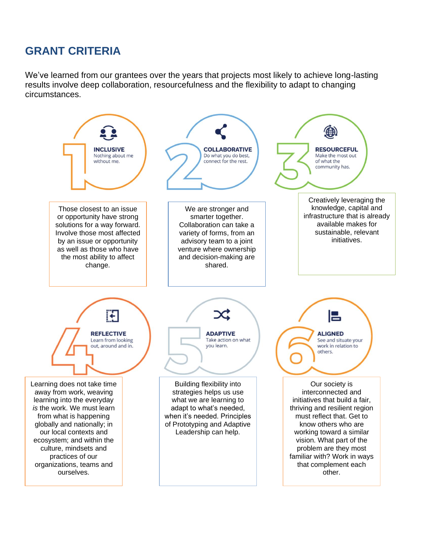# **GRANT CRITERIA**

We've learned from our grantees over the years that projects most likely to achieve long-lasting results involve deep collaboration, resourcefulness and the flexibility to adapt to changing circumstances.

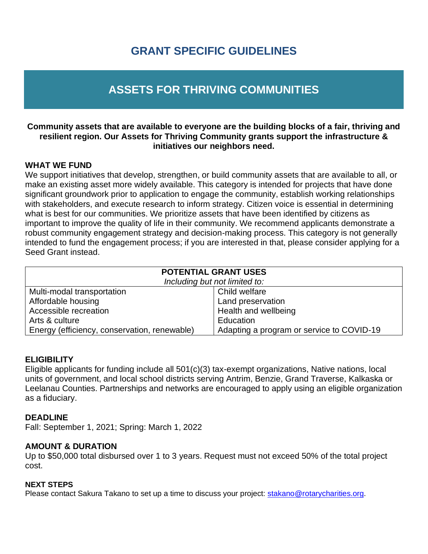# **GRANT SPECIFIC GUIDELINES**

# **ASSETS FOR THRIVING COMMUNITIES**

### **Community assets that are available to everyone are the building blocks of a fair, thriving and resilient region. Our Assets for Thriving Community grants support the infrastructure & initiatives our neighbors need.**

### **WHAT WE FUND**

We support initiatives that develop, strengthen, or build community assets that are available to all, or make an existing asset more widely available. This category is intended for projects that have done significant groundwork prior to application to engage the community, establish working relationships with stakeholders, and execute research to inform strategy. Citizen voice is essential in determining what is best for our communities. We prioritize assets that have been identified by citizens as important to improve the quality of life in their community. We recommend applicants demonstrate a robust community engagement strategy and decision-making process. This category is not generally intended to fund the engagement process; if you are interested in that, please consider applying for a Seed Grant instead.

| <b>POTENTIAL GRANT USES</b><br>Including but not limited to:                              |                      |  |
|-------------------------------------------------------------------------------------------|----------------------|--|
| Multi-modal transportation                                                                | Child welfare        |  |
| Affordable housing                                                                        | Land preservation    |  |
| Accessible recreation                                                                     | Health and wellbeing |  |
| Arts & culture                                                                            | Education            |  |
| Energy (efficiency, conservation, renewable)<br>Adapting a program or service to COVID-19 |                      |  |

### **ELIGIBILITY**

Eligible applicants for funding include all 501(c)(3) tax-exempt organizations, Native nations, local units of government, and local school districts serving Antrim, Benzie, Grand Traverse, Kalkaska or Leelanau Counties. Partnerships and networks are encouraged to apply using an eligible organization as a fiduciary.

### **DEADLINE**

Fall: September 1, 2021; Spring: March 1, 2022

### **AMOUNT & DURATION**

Up to \$50,000 total disbursed over 1 to 3 years. Request must not exceed 50% of the total project cost.

### **NEXT STEPS**

Please contact Sakura Takano to set up a time to discuss your project: [stakano@rotarycharities.org.](mailto:stakano@rotarycharities.org)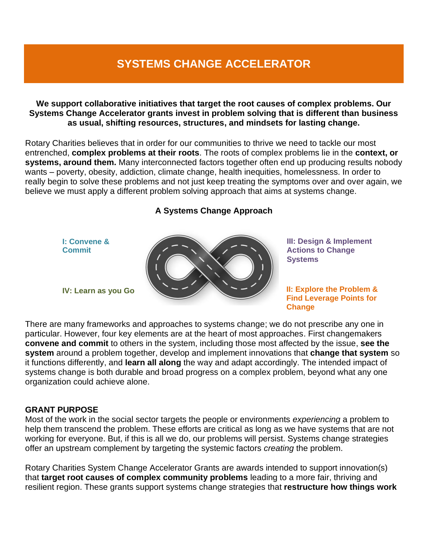# **SYSTEMS CHANGE ACCELERATOR**

**We support collaborative initiatives that target the root causes of complex problems. Our Systems Change Accelerator grants invest in problem solving that is different than business as usual, shifting resources, structures, and mindsets for lasting change.**

Rotary Charities believes that in order for our communities to thrive we need to tackle our most entrenched, **complex problems at their roots**. The roots of complex problems lie in the **context, or systems, around them.** Many interconnected factors together often end up producing results nobody wants – poverty, obesity, addiction, climate change, health inequities, homelessness. In order to really begin to solve these problems and not just keep treating the symptoms over and over again, we believe we must apply a different problem solving approach that aims at systems change.

### **A Systems Change Approach**



There are many frameworks and approaches to systems change; we do not prescribe any one in particular. However, four key elements are at the heart of most approaches. First changemakers **convene and commit** to others in the system, including those most affected by the issue, **see the system** around a problem together, develop and implement innovations that **change that system** so it functions differently, and **learn all along** the way and adapt accordingly. The intended impact of systems change is both durable and broad progress on a complex problem, beyond what any one organization could achieve alone.

### **GRANT PURPOSE**

Most of the work in the social sector targets the people or environments *experiencing* a problem to help them transcend the problem. These efforts are critical as long as we have systems that are not working for everyone. But, if this is all we do, our problems will persist. Systems change strategies offer an upstream complement by targeting the systemic factors *creating* the problem.

Rotary Charities System Change Accelerator Grants are awards intended to support innovation(s) that **target root causes of complex community problems** leading to a more fair, thriving and resilient region. These grants support systems change strategies that **restructure how things work**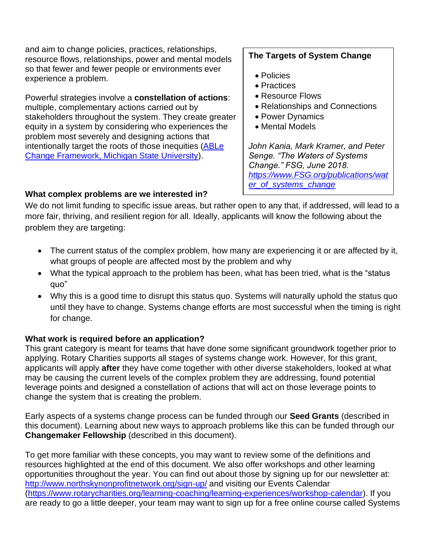and aim to change policies, practices, relationships, resource flows, relationships, power and mental models so that fewer and fewer people or environments ever experience a problem.

Powerful strategies involve a **constellation of actions**: multiple, complementary actions carried out by stakeholders throughout the system. They create greater equity in a system by considering who experiences the problem most severely and designing actions that intentionally target the roots of those inequities [\(ABLe](http://ablechange.msu.edu/)  [Change Framework, Michigan State University\)](http://ablechange.msu.edu/).

# **The Targets of System Change**

- Policies
- Practices
- Resource Flows
- Relationships and Connections
- Power Dynamics
- Mental Models

*John Kania, Mark Kramer, and Peter Senge. "The Waters of Systems Change." FSG, June 2018. [https://www.FSG.org/publications/wat](https://www.fsg.org/publications/water_of_systems_change) [er\\_of\\_systems\\_change](https://www.fsg.org/publications/water_of_systems_change)*

# **What complex problems are we interested in?**

We do not limit funding to specific issue areas, but rather open to any that, if addressed, will lead to a more fair, thriving, and resilient region for all. Ideally, applicants will know the following about the problem they are targeting:

- The current status of the complex problem, how many are experiencing it or are affected by it, what groups of people are affected most by the problem and why
- What the typical approach to the problem has been, what has been tried, what is the "status" quo"
- Why this is a good time to disrupt this status quo. Systems will naturally uphold the status quo until they have to change. Systems change efforts are most successful when the timing is right for change.

# **What work is required before an application?**

This grant category is meant for teams that have done some significant groundwork together prior to applying. Rotary Charities supports all stages of systems change work. However, for this grant, applicants will apply **after** they have come together with other diverse stakeholders, looked at what may be causing the current levels of the complex problem they are addressing, found potential leverage points and designed a constellation of actions that will act on those leverage points to change the system that is creating the problem.

Early aspects of a systems change process can be funded through our **Seed Grants** (described in this document). Learning about new ways to approach problems like this can be funded through our **Changemaker Fellowship** (described in this document).

To get more familiar with these concepts, you may want to review some of the definitions and resources highlighted at the end of this document. We also offer workshops and other learning opportunities throughout the year. You can find out about those by signing up for our newsletter at: <http://www.northskynonprofitnetwork.org/sign-up/> and visiting our Events Calendar [\(https://www.rotarycharities.org/learning-coaching/learning-experiences/workshop-calendar\)](https://www.rotarycharities.org/learning-coaching/learning-experiences/workshop-calendar). If you are ready to go a little deeper, your team may want to sign up for a free online course called Systems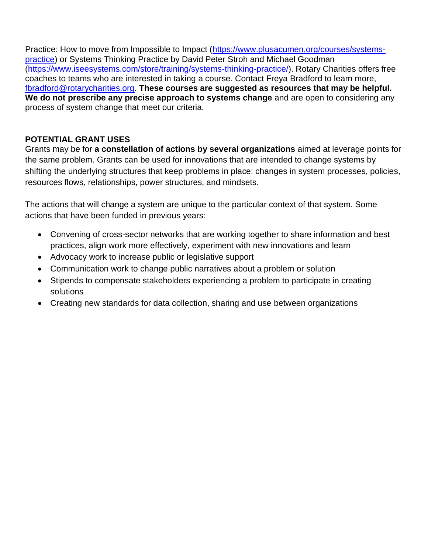Practice: How to move from Impossible to Impact [\(https://www.plusacumen.org/courses/systems](https://www.plusacumen.org/courses/systems-practice)[practice\)](https://www.plusacumen.org/courses/systems-practice) or Systems Thinking Practice by David Peter Stroh and Michael Goodman [\(https://www.iseesystems.com/store/training/systems-thinking-practice/\)](https://www.iseesystems.com/store/training/systems-thinking-practice/). Rotary Charities offers free coaches to teams who are interested in taking a course. Contact Freya Bradford to learn more, [fbradford@rotarycharities.org.](mailto:fbradford@rotarycharities.org) **These courses are suggested as resources that may be helpful. We do not prescribe any precise approach to systems change** and are open to considering any process of system change that meet our criteria.

# **POTENTIAL GRANT USES**

Grants may be for **a constellation of actions by several organizations** aimed at leverage points for the same problem. Grants can be used for innovations that are intended to change systems by shifting the underlying structures that keep problems in place: changes in system processes, policies, resources flows, relationships, power structures, and mindsets.

The actions that will change a system are unique to the particular context of that system. Some actions that have been funded in previous years:

- Convening of cross-sector networks that are working together to share information and best practices, align work more effectively, experiment with new innovations and learn
- Advocacy work to increase public or legislative support
- Communication work to change public narratives about a problem or solution
- Stipends to compensate stakeholders experiencing a problem to participate in creating solutions
- Creating new standards for data collection, sharing and use between organizations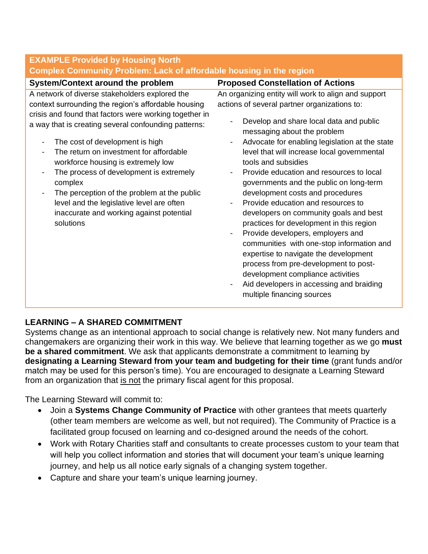| <b>EXAMPLE Provided by Housing North</b>                                                                                                                                                                                                                                                                                                                                                                                                                                                                                                                                                                            |                                                                                                                                                                                                                                                                                                                                                                                                                                                                                                                                                                                                                                                                                                                                                                                                                                                                                                             |  |  |  |
|---------------------------------------------------------------------------------------------------------------------------------------------------------------------------------------------------------------------------------------------------------------------------------------------------------------------------------------------------------------------------------------------------------------------------------------------------------------------------------------------------------------------------------------------------------------------------------------------------------------------|-------------------------------------------------------------------------------------------------------------------------------------------------------------------------------------------------------------------------------------------------------------------------------------------------------------------------------------------------------------------------------------------------------------------------------------------------------------------------------------------------------------------------------------------------------------------------------------------------------------------------------------------------------------------------------------------------------------------------------------------------------------------------------------------------------------------------------------------------------------------------------------------------------------|--|--|--|
| <b>Complex Community Problem: Lack of affordable housing in the region</b>                                                                                                                                                                                                                                                                                                                                                                                                                                                                                                                                          |                                                                                                                                                                                                                                                                                                                                                                                                                                                                                                                                                                                                                                                                                                                                                                                                                                                                                                             |  |  |  |
| <b>System/Context around the problem</b>                                                                                                                                                                                                                                                                                                                                                                                                                                                                                                                                                                            | <b>Proposed Constellation of Actions</b>                                                                                                                                                                                                                                                                                                                                                                                                                                                                                                                                                                                                                                                                                                                                                                                                                                                                    |  |  |  |
| A network of diverse stakeholders explored the<br>context surrounding the region's affordable housing<br>crisis and found that factors were working together in<br>a way that is creating several confounding patterns:<br>The cost of development is high<br>$\overline{\phantom{a}}$<br>The return on investment for affordable<br>workforce housing is extremely low<br>The process of development is extremely<br>-<br>complex<br>The perception of the problem at the public<br>$\overline{\phantom{a}}$<br>level and the legislative level are often<br>inaccurate and working against potential<br>solutions | An organizing entity will work to align and support<br>actions of several partner organizations to:<br>Develop and share local data and public<br>messaging about the problem<br>Advocate for enabling legislation at the state<br>level that will increase local governmental<br>tools and subsidies<br>Provide education and resources to local<br>$\qquad \qquad \blacksquare$<br>governments and the public on long-term<br>development costs and procedures<br>Provide education and resources to<br>developers on community goals and best<br>practices for development in this region<br>Provide developers, employers and<br>$\overline{\phantom{a}}$<br>communities with one-stop information and<br>expertise to navigate the development<br>process from pre-development to post-<br>development compliance activities<br>Aid developers in accessing and braiding<br>multiple financing sources |  |  |  |

# **LEARNING – A SHARED COMMITMENT**

Systems change as an intentional approach to social change is relatively new. Not many funders and changemakers are organizing their work in this way. We believe that learning together as we go **must be a shared commitment**. We ask that applicants demonstrate a commitment to learning by **designating a Learning Steward from your team and budgeting for their time** (grant funds and/or match may be used for this person's time). You are encouraged to designate a Learning Steward from an organization that is not the primary fiscal agent for this proposal.

The Learning Steward will commit to:

- Join a **Systems Change Community of Practice** with other grantees that meets quarterly (other team members are welcome as well, but not required). The Community of Practice is a facilitated group focused on learning and co-designed around the needs of the cohort.
- Work with Rotary Charities staff and consultants to create processes custom to your team that will help you collect information and stories that will document your team's unique learning journey, and help us all notice early signals of a changing system together.
- Capture and share your team's unique learning journey.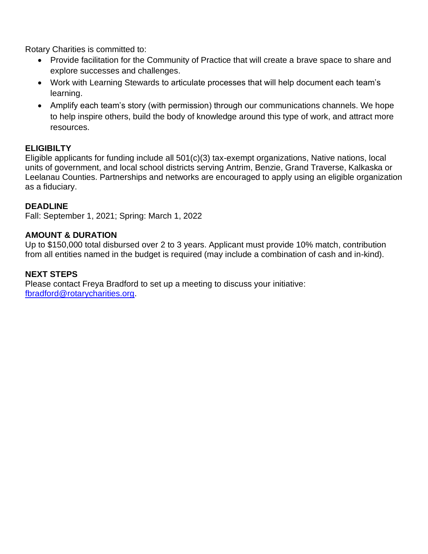Rotary Charities is committed to:

- Provide facilitation for the Community of Practice that will create a brave space to share and explore successes and challenges.
- Work with Learning Stewards to articulate processes that will help document each team's learning.
- Amplify each team's story (with permission) through our communications channels. We hope to help inspire others, build the body of knowledge around this type of work, and attract more resources.

# **ELIGIBILTY**

Eligible applicants for funding include all 501(c)(3) tax-exempt organizations, Native nations, local units of government, and local school districts serving Antrim, Benzie, Grand Traverse, Kalkaska or Leelanau Counties. Partnerships and networks are encouraged to apply using an eligible organization as a fiduciary.

# **DEADLINE**

Fall: September 1, 2021; Spring: March 1, 2022

### **AMOUNT & DURATION**

Up to \$150,000 total disbursed over 2 to 3 years. Applicant must provide 10% match, contribution from all entities named in the budget is required (may include a combination of cash and in-kind).

# **NEXT STEPS**

Please contact Freya Bradford to set up a meeting to discuss your initiative: [fbradford@rotarycharities.org.](mailto:fbradford@rotarycharities.org)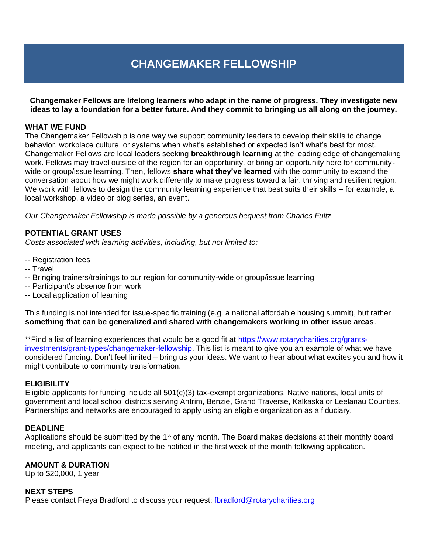# **CHANGEMAKER FELLOWSHIP**

**Changemaker Fellows are lifelong learners who adapt in the name of progress. They investigate new ideas to lay a foundation for a better future. And they commit to bringing us all along on the journey.**

#### **WHAT WE FUND**

The Changemaker Fellowship is one way we support community leaders to develop their skills to change behavior, workplace culture, or systems when what's established or expected isn't what's best for most. Changemaker Fellows are local leaders seeking **breakthrough learning** at the leading edge of changemaking work. Fellows may travel outside of the region for an opportunity, or bring an opportunity here for communitywide or group/issue learning. Then, fellows **share what they've learned** with the community to expand the conversation about how we might work differently to make progress toward a fair, thriving and resilient region. We work with fellows to design the community learning experience that best suits their skills – for example, a local workshop, a video or blog series, an event.

*Our Changemaker Fellowship is made possible by a generous bequest from Charles Fultz.*

### **POTENTIAL GRANT USES**

*Costs associated with learning activities, including, but not limited to:*

- -- Registration fees
- -- Travel
- -- Bringing trainers/trainings to our region for community-wide or group/issue learning
- -- Participant's absence from work
- -- Local application of learning

This funding is not intended for issue-specific training (e.g. a national affordable housing summit), but rather **something that can be generalized and shared with changemakers working in other issue areas**.

\*\*Find a list of learning experiences that would be a good fit at [https://www.rotarycharities.org/grants](https://www.rotarycharities.org/grants-investments/grant-types/changemaker-fellowship)[investments/grant-types/changemaker-fellowship.](https://www.rotarycharities.org/grants-investments/grant-types/changemaker-fellowship) This list is meant to give you an example of what we have considered funding. Don't feel limited – bring us your ideas. We want to hear about what excites you and how it might contribute to community transformation.

#### **ELIGIBILITY**

Eligible applicants for funding include all 501(c)(3) tax-exempt organizations, Native nations, local units of government and local school districts serving Antrim, Benzie, Grand Traverse, Kalkaska or Leelanau Counties. Partnerships and networks are encouraged to apply using an eligible organization as a fiduciary.

#### **DEADLINE**

Applications should be submitted by the 1<sup>st</sup> of any month. The Board makes decisions at their monthly board meeting, and applicants can expect to be notified in the first week of the month following application.

### **AMOUNT & DURATION**

Up to \$20,000, 1 year

#### **NEXT STEPS**

Please contact Freya Bradford to discuss your request: [fbradford@rotarycharities.org](mailto:fbradford@rotarycharities.org)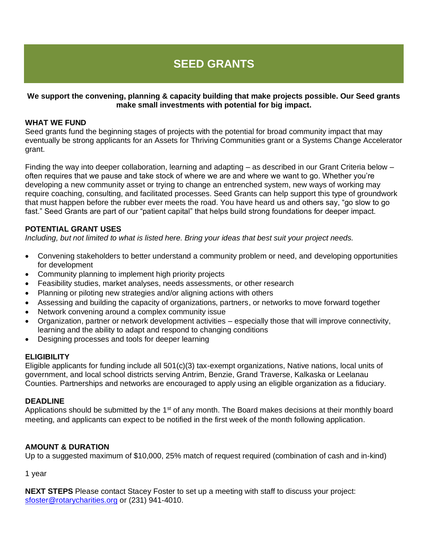# **SEED GRANTS**

### **We support the convening, planning & capacity building that make projects possible. Our Seed grants make small investments with potential for big impact.**

#### **WHAT WE FUND**

Seed grants fund the beginning stages of projects with the potential for broad community impact that may eventually be strong applicants for an Assets for Thriving Communities grant or a Systems Change Accelerator grant.

Finding the way into deeper collaboration, learning and adapting – as described in our Grant Criteria below – often requires that we pause and take stock of where we are and where we want to go. Whether you're developing a new community asset or trying to change an entrenched system, new ways of working may require coaching, consulting, and facilitated processes. Seed Grants can help support this type of groundwork that must happen before the rubber ever meets the road. You have heard us and others say, "go slow to go fast." Seed Grants are part of our "patient capital" that helps build strong foundations for deeper impact.

#### **POTENTIAL GRANT USES**

*Including, but not limited to what is listed here. Bring your ideas that best suit your project needs.*

- Convening stakeholders to better understand a community problem or need, and developing opportunities for development
- Community planning to implement high priority projects
- Feasibility studies, market analyses, needs assessments, or other research
- Planning or piloting new strategies and/or aligning actions with others
- Assessing and building the capacity of organizations, partners, or networks to move forward together
- Network convening around a complex community issue
- Organization, partner or network development activities especially those that will improve connectivity, learning and the ability to adapt and respond to changing conditions
- Designing processes and tools for deeper learning

#### **ELIGIBILITY**

Eligible applicants for funding include all 501(c)(3) tax-exempt organizations, Native nations, local units of government, and local school districts serving Antrim, Benzie, Grand Traverse, Kalkaska or Leelanau Counties. Partnerships and networks are encouraged to apply using an eligible organization as a fiduciary.

#### **DEADLINE**

Applications should be submitted by the  $1<sup>st</sup>$  of any month. The Board makes decisions at their monthly board meeting, and applicants can expect to be notified in the first week of the month following application.

### **AMOUNT & DURATION**

Up to a suggested maximum of \$10,000, 25% match of request required (combination of cash and in-kind)

1 year

**NEXT STEPS** Please contact Stacey Foster to set up a meeting with staff to discuss your project: [sfoster@rotarycharities.org](mailto:sfoster@rotarycharities.org) or (231) 941-4010.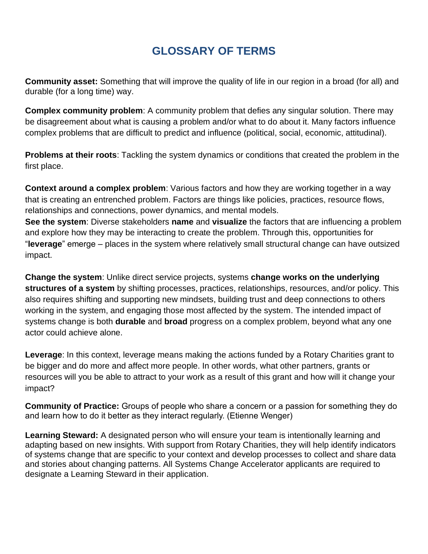# **GLOSSARY OF TERMS**

**Community asset:** Something that will improve the quality of life in our region in a broad (for all) and durable (for a long time) way.

**Complex community problem**: A community problem that defies any singular solution. There may be disagreement about what is causing a problem and/or what to do about it. Many factors influence complex problems that are difficult to predict and influence (political, social, economic, attitudinal).

**Problems at their roots**: Tackling the system dynamics or conditions that created the problem in the first place.

**Context around a complex problem**: Various factors and how they are working together in a way that is creating an entrenched problem. Factors are things like policies, practices, resource flows, relationships and connections, power dynamics, and mental models. **See the system**: Diverse stakeholders **name** and **visualize** the factors that are influencing a problem and explore how they may be interacting to create the problem. Through this, opportunities for "**leverage**" emerge – places in the system where relatively small structural change can have outsized impact.

**Change the system**: Unlike direct service projects, systems **change works on the underlying structures of a system** by shifting processes, practices, relationships, resources, and/or policy. This also requires shifting and supporting new mindsets, building trust and deep connections to others working in the system, and engaging those most affected by the system. The intended impact of systems change is both **durable** and **broad** progress on a complex problem, beyond what any one actor could achieve alone.

**Leverage**: In this context, leverage means making the actions funded by a Rotary Charities grant to be bigger and do more and affect more people. In other words, what other partners, grants or resources will you be able to attract to your work as a result of this grant and how will it change your impact?

**Community of Practice:** Groups of people who share a concern or a passion for something they do and learn how to do it better as they interact regularly. (Etienne Wenger)

**Learning Steward:** A designated person who will ensure your team is intentionally learning and adapting based on new insights. With support from Rotary Charities, they will help identify indicators of systems change that are specific to your context and develop processes to collect and share data and stories about changing patterns. All Systems Change Accelerator applicants are required to designate a Learning Steward in their application.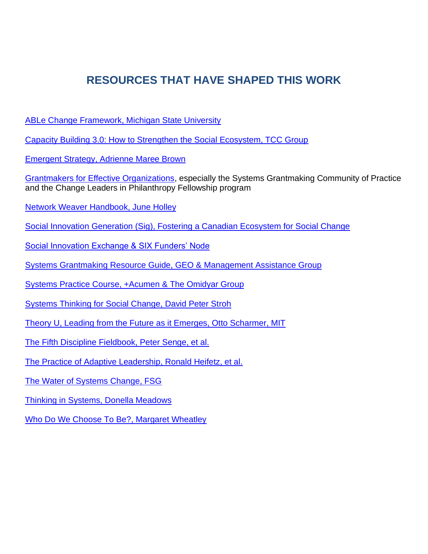# **RESOURCES THAT HAVE SHAPED THIS WORK**

[ABLe Change Framework, Michigan State University](http://ablechange.msu.edu/)

[Capacity Building 3.0: How to Strengthen the Social Ecosystem, TCC Group](http://www.tccgrp.com/pubs/capacity_building_3.php)

[Emergent Strategy, Adrienne Maree Brown](https://www.akpress.org/emergentstrategy.html)

[Grantmakers for Effective Organizations,](https://www.geofunders.org/) especially the Systems Grantmaking Community of Practice and the Change Leaders in Philanthropy Fellowship program

Network Weaver [Handbook, June Holley](https://www.networkweaver.com/)

[Social Innovation Generation \(Sig\), Fostering a Canadian Ecosystem for Social Change](http://www.sigeneration.ca/)

[Social Innovation Exchange & SIX Funders' Node](https://www.socialinnovationexchange.org/)

[Systems Grantmaking Resource Guide, GEO & Management Assistance Group](http://systems.geofunders.org/tools-resources)

[Systems Practice Course, +Acumen & The Omidyar Group](https://www.plusacumen.org/courses/systems-practice)

[Systems Thinking for Social Change, David Peter Stroh](http://www.appliedsystemsthinking.com/supporting_documents/Leveraging_SocialChange.pdf)

[Theory U, Leading from the Future as it Emerges, Otto Scharmer, MIT](http://www.ottoscharmer.com/publications/executive-summaries)

[The Fifth Discipline Fieldbook, Peter Senge, et al.](https://thesystemsthinker.com/the-fifth-discipline-fieldbook-a-guide-to-the-learning-organization/)

[The Practice of Adaptive Leadership, Ronald Heifetz, et al.](https://books.google.com/books/about/The_Practice_of_Adaptive_Leadership.html?id=86OJwyvGzCoC)

[The Water of Systems Change, FSG](https://www.fsg.org/publications/water_of_systems_change)

[Thinking in Systems, Donella Meadows](https://books.google.com/books/about/Thinking_in_Systems.html?id=CpbLAgAAQBAJ)

[Who Do We Choose To Be?, Margaret Wheatley](https://margaretwheatley.com/new-book-in-2017-who-do-we-choose-to-be/)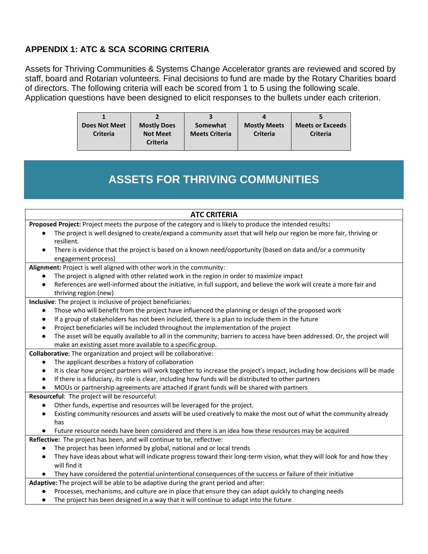# **APPENDIX 1: ATC & SCA SCORING CRITERIA**

Assets for Thriving Communities & Systems Change Accelerator grants are reviewed and scored by staff, board and Rotarian volunteers. Final decisions to fund are made by the Rotary Charities board of directors. The following criteria will each be scored from 1 to 5 using the following scale. Application questions have been designed to elicit responses to the bullets under each criterion.

| <b>Does Not Meet</b> | <b>Mostly Does</b> | Somewhat              | <b>Mostly Meets</b> | <b>Meets or Exceeds</b> |
|----------------------|--------------------|-----------------------|---------------------|-------------------------|
| <b>Criteria</b>      | <b>Not Meet</b>    | <b>Meets Criteria</b> | <b>Criteria</b>     | <b>Criteria</b>         |
|                      | <b>Criteria</b>    |                       |                     |                         |

# **ASSETS FOR THRIVING COMMUNITIES**

#### **ATC CRITERIA**

**Proposed Project:** Project meets the purpose of the category and is likely to produce the intended results**:**

- The project is well designed to create/expand a community asset that will help our region be more fair, thriving or resilient.
- There is evidence that the project is based on a known need/opportunity (based on data and/or a community engagement process)

**Alignment:** Project is well aligned with other work in the community:

- The project is aligned with other related work in the region in order to maximize impact
- References are well-informed about the initiative, in full support, and believe the work will create a more fair and thriving region (new)

**Inclusive**: The project is inclusive of project beneficiaries:

- Those who will benefit from the project have influenced the planning or design of the proposed work
- If a group of stakeholders has not been included, there is a plan to include them in the future
- Project beneficiaries will be included throughout the implementation of the project
- The asset will be equally available to all in the community; barriers to access have been addressed. Or, the project will make an existing asset more available to a specific group.

**Collaborative**: The organization and project will be collaborative:

- The applicant describes a history of collaboration
- It is clear how project partners will work together to increase the project's impact, including how decisions will be made
- If there is a fiduciary, its role is clear, including how funds will be distributed to other partners
- MOUs or partnership agreements are attached if grant funds will be shared with partners

**Resourceful**: The project will be resourceful:

- Other funds, expertise and resources will be leveraged for the project.
- Existing community resources and assets will be used creatively to make the most out of what the community already has
- Future resource needs have been considered and there is an idea how these resources may be acquired

**Reflective:** The project has been, and will continue to be, reflective:

- The project has been informed by global, national and or local trends
- They have ideas about what will indicate progress toward their long-term vision, what they will look for and how they will find it
- They have considered the potential unintentional consequences of the success or failure of their initiative
- **Adaptive:** The project will be able to be adaptive during the grant period and after:
	- Processes, mechanisms, and culture are in place that ensure they can adapt quickly to changing needs
	- The project has been designed in a way that it will continue to adapt into the future